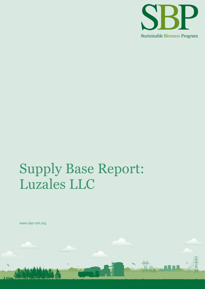

# Supply Base Report: Luzales LLC

www.sbp-cert.org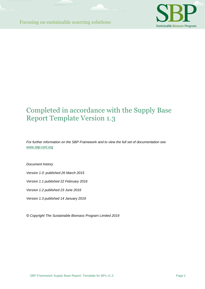

### Completed in accordance with the Supply Base Report Template Version 1.3

*For further information on the SBP Framework and to view the full set of documentation see [www.sbp-cert.org](http://www.sbp-cert.org/)*

*Document history*

*Version 1.0: published 26 March 2015*

*Version 1.1 published 22 February 2016*

*Version 1.2 published 23 June 2016*

*Version 1.3 published 14 January 2019*

*© Copyright The Sustainable Biomass Program Limited 2019*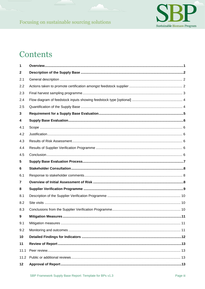

### Contents

| 1            |                                   |
|--------------|-----------------------------------|
| $\mathbf{2}$ |                                   |
| 2.1          |                                   |
| 2.2          |                                   |
| 2.3          |                                   |
| 2.4          |                                   |
| 2.5          |                                   |
| 3            |                                   |
| 4            |                                   |
| 4.1          |                                   |
| 4.2          |                                   |
| 4.3          |                                   |
| 4.4          |                                   |
| 4.5          |                                   |
| 5            |                                   |
|              |                                   |
| 6            |                                   |
| 6.1          |                                   |
| 7            |                                   |
| 8            |                                   |
| 8.1          |                                   |
| 8.2          |                                   |
| 8.3          |                                   |
| 9            | <b>Mitigation Measures</b><br>.11 |
| 9.1          |                                   |
| 9.2          |                                   |
| 10           |                                   |
| 11           |                                   |
| 11.1         |                                   |
| 11.2         |                                   |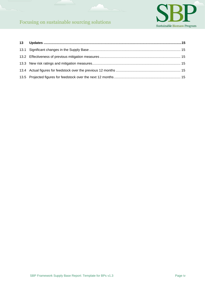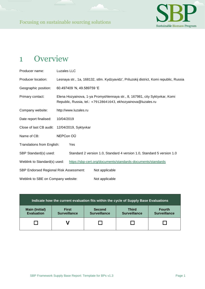

### <span id="page-4-0"></span>1 Overview

| Producer name:                                | Luzales LLC |                                                                                                                                              |                                                                                         |  |
|-----------------------------------------------|-------------|----------------------------------------------------------------------------------------------------------------------------------------------|-----------------------------------------------------------------------------------------|--|
| Producer location:                            |             |                                                                                                                                              | Lesnaya str., 1a, 168132, stlm. Kydzyavidz', Priluzskij district, Komi republic, Russia |  |
| Geographic position:                          |             | 60.497409 'N, 49.589759 'E                                                                                                                   |                                                                                         |  |
| Primary contact:                              |             | Elena Hozyainova, 1-ya Promyshlennaya str., 8, 167981, city Syktyvkar, Komi<br>Republic, Russia, tel.: +79128641643, ekhozyainova@luzales.ru |                                                                                         |  |
| Company website:                              |             | http://www.luzales.ru                                                                                                                        |                                                                                         |  |
| Date report finalised:<br>10/04/2019          |             |                                                                                                                                              |                                                                                         |  |
| Close of last CB audit: 12/04/2019, Syktyvkar |             |                                                                                                                                              |                                                                                         |  |
| Name of CB:                                   | NEPCon OÜ   |                                                                                                                                              |                                                                                         |  |
| Translations from English:                    |             | Yes                                                                                                                                          |                                                                                         |  |
| SBP Standard(s) used:                         |             |                                                                                                                                              | Standard 2 version 1.0, Standard 4 version 1.0, Standard 5 version 1.0                  |  |
| Weblink to Standard(s) used:                  |             |                                                                                                                                              | https://sbp-cert.org/documents/standards-documents/standards                            |  |
| <b>SBP Endorsed Regional Risk Assessment:</b> |             |                                                                                                                                              | Not applicable                                                                          |  |
| Weblink to SBE on Company website:            |             |                                                                                                                                              | Not applicable                                                                          |  |

| Indicate how the current evaluation fits within the cycle of Supply Base Evaluations |                                     |                                      |                                     |                                      |  |
|--------------------------------------------------------------------------------------|-------------------------------------|--------------------------------------|-------------------------------------|--------------------------------------|--|
| <b>Main (Initial)</b><br><b>Evaluation</b>                                           | <b>First</b><br><b>Surveillance</b> | <b>Second</b><br><b>Surveillance</b> | <b>Third</b><br><b>Surveillance</b> | <b>Fourth</b><br><b>Surveillance</b> |  |
|                                                                                      |                                     |                                      |                                     |                                      |  |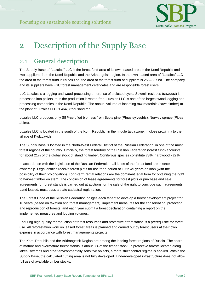

### <span id="page-5-0"></span>2 Description of the Supply Base

#### <span id="page-5-1"></span>2.1 General description

The Supply Base of "Luzales" LLC is the forest fund area of its own leased area in the Komi Republic and two suppliers: from the Komi Republic and the Arkhangelsk region. In the own leased area of "Luzales" LLC the area of the forest fund is 697289 ha, the area of the forest fund of suppliers is 2582837 ha. The company and its suppliers have FSC forest management certificates and are responsible forest users.

LLC Luzales is a logging and wood-processing enterprise of a closed cycle. Sawmill residues (sawdust) is processed into pellets, thus the production is waste-free. Luzales LLC is one of the largest wood logging and processing companies in the Komi Republic. The annual volume of incoming raw materials (sawn timber) at the plant of Luzales LLC is  $464,8$  thousand m<sup>3</sup>.

Luzales LLC produces only SBP-certified biomass from Scots pine (Pínus sylvestris), Norway spruce (Picea abies).

Luzales LLC is located in the south of the Komi Republic, in the middle taiga zone, in close proximity to the village of Kydzyavidz.

The Supply Base is located in the North-West Federal District of the Russian Federation, in one of the most forest regions of the country. Officially, the forest territory of the Russian Federation (forest fund) accounts for about 21% of the global stock of standing timber. Coniferous species constitute 78%, hardwood - 22%.

<span id="page-5-2"></span>In accordance with the legislation of the Russian Federation, all lands of the forest fund are in state ownership. Legal entities receive forest plots for use for a period of 10 to 49 years on loan (with the possibility of their prolongation). Long-term rental relations are the dominant legal form for obtaining the right to harvest timber on stem. The conclusion of lease agreements for forest plots or purchase and sale agreements for forest stands is carried out at auctions for the sale of the right to conclude such agreements. Land leased, must pass a state cadastral registration.

The Forest Code of the Russian Federation obliges each tenant to develop a forest development project for 10 years (based on taxation and forest management), implement measures for the conservation, protection and reproduction of forests, and each year submit a forest declaration containing a report on the implemented measures and logging volumes.

Ensuring high-quality reproduction of forest resources and protective afforestation is a prerequisite for forest use. All reforestation work on leased forest areas is planned and carried out by forest users at their own expense in accordance with forest managements projects.

The Komi Republic and the Arkhangelsk Region are among the leading forest regions of Russia. The share of mature and overmature forest stands is about 3/4 of the timber stock. In protective forests located along lakes, swamps and other environmentally sensitive objects, a more strict control regime is applied. Within the Supply Base, the calculated cutting area is not fully developed. Underdeveloped infrastructure does not allow full use of available timber stocks.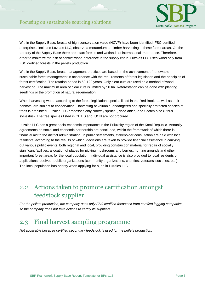

Within the Supply Base, forests of high conservation value (HCVF) have been identified. FSC-certified enterprises, incl. and Luzales LLC, observe a moratorium on timber harvesting in these forest areas. On the territory of the Supply Base there are intact forests and wetlands of international importance. Therefore, in order to minimize the risk of conflict wood enterence in the supply chain, Luzales LLC uses wood only from FSC certified forests in the pellets production.

Within the Supply Base, forest management practices are based on the achievement of renewable sustainable forest management in accordance with the requirements of forest legislation and the principles of forest certification. The rotation period is 60-120 years. Only clear cuts are used as a method of wood harvesting. The maximum area of clear cuts is limited by 50 ha. Reforestation can be done with planting seedlings or the promotion of natural regeneration.

When harvesting wood, according to the forest legislation, species listed in the Red Book, as well as their habitats, are subject to conservation. Harvesting of valuable, endangered and specially protected species of trees is prohibited. Luzales LLC processes only Norway spruce (Picea abies) and Scotch pine (Pinus sylvestris). The tree species listed in CITES and IUCN are not procured.

Luzales LLC has a great socio-economic importance in the Priluzsky region of the Komi Republic. Annually agreements on social and economic partnership are concluded, within the framework of which there is financial aid to the district administration. In public settlements, stakeholder consultation are held with local residents, according to the results of which, decisions are taken to provide financial assistance in carrying out various public events, both regional and local, providing construction material for repair of socially significant facilities, allocation of places for picking mushrooms and berries, hunting grounds and other important forest areas for the local population. Individual assistance is also provided to local residents on applications received, public organizations (community organizations, charities, veterans' societies, etc.). The local population has priority when applying for a job in Luzales LLC.

### 2.2 Actions taken to promote certification amongst feedstock supplier

*For the pellets production, the company uses only FSC certified feedstock from certified logging companies, so the company does not take actions to certify its suppliers.*

#### <span id="page-6-0"></span>2.3 Final harvest sampling programme

*Not applicable because certified secondary feedstock is used for the pellets production.*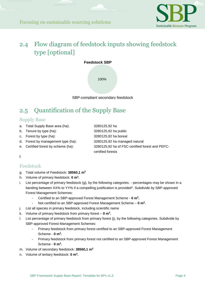

### <span id="page-7-0"></span>2.4 Flow diagram of feedstock inputs showing feedstock type [optional]

**Feedstock SBP** 

100%

SBP-compliant secondary feedstock

### <span id="page-7-1"></span>2.5 Quantification of the Supply Base

#### Supply Base

- a. Total Supply Base area (ha): 3280125,92 ha
	-
- b. Tenure by type (ha): 3280125,92 ha public
- 
- d. Forest by management type (ha): 3280125,92 ha managed natural
- 
- c. Forest by type (ha): 3280125,92 ha boreal e. Certified forest by scheme (ha): 3280125,92 ha of FSC-certified forest and PEFCcertified forests

#### f.

#### Feedstock

- g. Total volume of Feedstock: **38560,1 m<sup>3</sup>**
- h. Volume of primary feedstock: **0 m<sup>3</sup> .**
- i. List percentage of primary feedstock (g), by the following categories. percentages may be shown in a banding between XX% to YY% if a compelling justification is provided\*. Subdivide by SBP-approved Forest Management Schemes:
	- Certified to an SBP-approved Forest Management Scheme **0 m<sup>3</sup> .**
	- Not certified to an SBP-approved Forest Management Scheme **0 m<sup>3</sup> .**
- j. List all species in primary feedstock, including scientific name
- k. Volume of primary feedstock from primary forest **0 m<sup>3</sup> .**
- l. List percentage of primary feedstock from primary forest (j), by the following categories. Subdivide by SBP-approved Forest Management Schemes:
	- Primary feedstock from primary forest certified to an SBP-approved Forest Management Scheme - **0 m<sup>3</sup> .**
	- Primary feedstock from primary forest not certified to an SBP-approved Forest Management Scheme - **0 m<sup>3</sup> .**
- m. Volume of secondary feedstock: **38560,1 m<sup>3</sup>**
- n. Volume of tertiary feedstock: **0 m<sup>3</sup> .**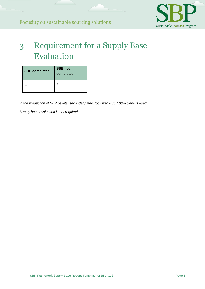

## <span id="page-8-0"></span>3 Requirement for a Supply Base Evaluation

| <b>SBE completed</b> | <b>SBE not</b><br>completed |  |
|----------------------|-----------------------------|--|
|                      |                             |  |

*In the production of SBP pellets, secondary feedstock with FSC 100% claim is used.*

*Supply base evaluation is not required.*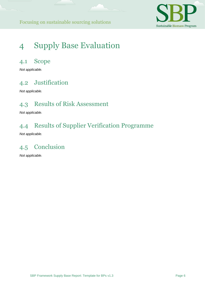

# <span id="page-9-0"></span>4 Supply Base Evaluation

#### <span id="page-9-1"></span>4.1 Scope

*Not applicable.*

### <span id="page-9-2"></span>4.2 Justification

*Not applicable.*

#### <span id="page-9-3"></span>4.3 Results of Risk Assessment

*Not applicable.*

### <span id="page-9-4"></span>4.4 Results of Supplier Verification Programme

*Not applicable.*

### <span id="page-9-5"></span>4.5 Conclusion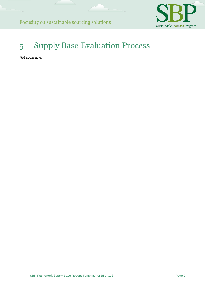

## <span id="page-10-0"></span>5 Supply Base Evaluation Process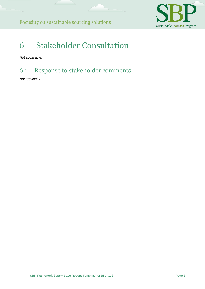

### <span id="page-11-0"></span>6 Stakeholder Consultation

<span id="page-11-2"></span>*Not applicable.*

### <span id="page-11-1"></span>6.1 Response to stakeholder comments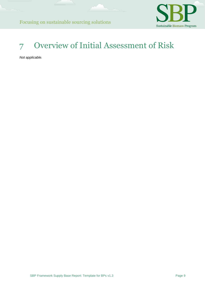

# <span id="page-12-0"></span>7 Overview of Initial Assessment of Risk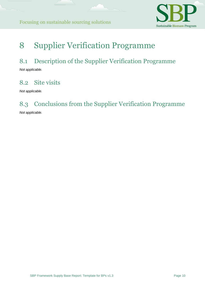

### 8 Supplier Verification Programme

#### <span id="page-13-0"></span>8.1 Description of the Supplier Verification Programme

*Not applicable.*

### <span id="page-13-1"></span>8.2 Site visits

*Not applicable.*

#### <span id="page-13-2"></span>8.3 Conclusions from the Supplier Verification Programme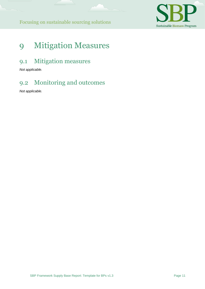

### <span id="page-14-0"></span>9 Mitigation Measures

#### <span id="page-14-1"></span>9.1 Mitigation measures

*Not applicable.*

### <span id="page-14-2"></span>9.2 Monitoring and outcomes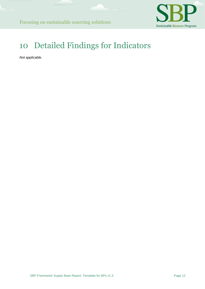

# <span id="page-15-0"></span>10 Detailed Findings for Indicators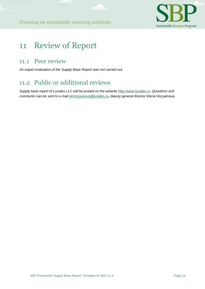

### <span id="page-16-0"></span>11 Review of Report

#### <span id="page-16-1"></span>11.1 Peer review

<span id="page-16-3"></span>*An expert evaluation of the Supply Base Report was not carried out.*

### <span id="page-16-2"></span>11.2 Public or additional reviews

*Supply base report of Luzales LLC will be posted on the website* [http://www.luzales.ru](http://www.luzales.ru/)*. Questions and comments can be sent to e-mail* ekhozyainova@luzales.ru, deputy general director Elena Hozyainova*.*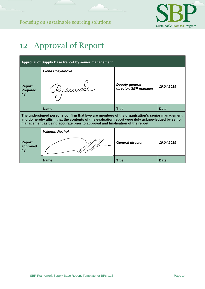

### 12 Approval of Report

| Approval of Supply Base Report by senior management                                                                                                                                                                                                                                  |                              |                                                |            |  |  |  |
|--------------------------------------------------------------------------------------------------------------------------------------------------------------------------------------------------------------------------------------------------------------------------------------|------------------------------|------------------------------------------------|------------|--|--|--|
| <b>Report</b><br><b>Prepared</b><br>by:                                                                                                                                                                                                                                              | Elena Hozyainova<br>Tojemote | <b>Deputy general</b><br>director, SBP manager | 10.04.2019 |  |  |  |
|                                                                                                                                                                                                                                                                                      | <b>Name</b>                  | <b>Title</b>                                   | Date       |  |  |  |
| The undersigned persons confirm that I/we are members of the organisation's senior management<br>and do hereby affirm that the contents of this evaluation report were duly acknowledged by senior<br>management as being accurate prior to approval and finalisation of the report. |                              |                                                |            |  |  |  |
|                                                                                                                                                                                                                                                                                      | <b>Valentin Rozhok</b>       |                                                |            |  |  |  |
| <b>Report</b><br>approved<br>by:                                                                                                                                                                                                                                                     |                              | <b>General director</b>                        | 10.04.2019 |  |  |  |
|                                                                                                                                                                                                                                                                                      | <b>Name</b>                  | <b>Title</b>                                   | Date       |  |  |  |